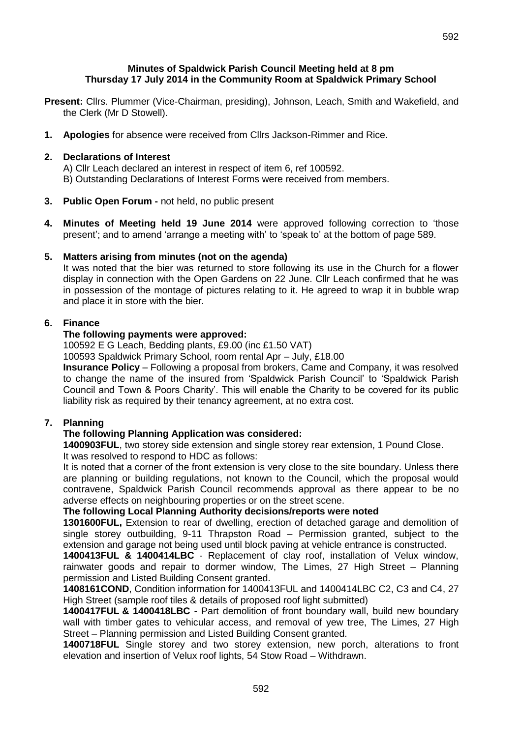### **Minutes of Spaldwick Parish Council Meeting held at 8 pm Thursday 17 July 2014 in the Community Room at Spaldwick Primary School**

- **Present:** Cllrs. Plummer (Vice-Chairman, presiding), Johnson, Leach, Smith and Wakefield, and the Clerk (Mr D Stowell).
- **1. Apologies** for absence were received from Cllrs Jackson-Rimmer and Rice.

# **2. Declarations of Interest**

A) Cllr Leach declared an interest in respect of item 6, ref 100592. B) Outstanding Declarations of Interest Forms were received from members.

- **3. Public Open Forum -** not held, no public present
- **4. Minutes of Meeting held 19 June 2014** were approved following correction to 'those present'; and to amend 'arrange a meeting with' to 'speak to' at the bottom of page 589.

# **5. Matters arising from minutes (not on the agenda)**

It was noted that the bier was returned to store following its use in the Church for a flower display in connection with the Open Gardens on 22 June. Cllr Leach confirmed that he was in possession of the montage of pictures relating to it. He agreed to wrap it in bubble wrap and place it in store with the bier.

# **6. Finance**

# **The following payments were approved:**

100592 E G Leach, Bedding plants, £9.00 (inc £1.50 VAT)

100593 Spaldwick Primary School, room rental Apr – July, £18.00

**Insurance Policy** – Following a proposal from brokers, Came and Company, it was resolved to change the name of the insured from 'Spaldwick Parish Council' to 'Spaldwick Parish Council and Town & Poors Charity'. This will enable the Charity to be covered for its public liability risk as required by their tenancy agreement, at no extra cost.

# **7. Planning**

# **The following Planning Application was considered:**

**1400903FUL**, two storey side extension and single storey rear extension, 1 Pound Close. It was resolved to respond to HDC as follows:

It is noted that a corner of the front extension is very close to the site boundary. Unless there are planning or building regulations, not known to the Council, which the proposal would contravene, Spaldwick Parish Council recommends approval as there appear to be no adverse effects on neighbouring properties or on the street scene.

# **The following Local Planning Authority decisions/reports were noted**

**1301600FUL,** Extension to rear of dwelling, erection of detached garage and demolition of single storey outbuilding, 9-11 Thrapston Road – Permission granted, subject to the extension and garage not being used until block paving at vehicle entrance is constructed.

**1400413FUL & 1400414LBC** - [Replacement of clay roof, installation of Velux window,](http://publicaccess.huntsdc.gov.uk/online-applications/applicationDetails.do?activeTab=summary&keyVal=N2MUS5IK00S00)  [rainwater goods and repair to dormer window,](http://publicaccess.huntsdc.gov.uk/online-applications/applicationDetails.do?activeTab=summary&keyVal=N2MUS5IK00S00) The Limes, 27 High Street – Planning permission and Listed Building Consent granted.

**1408161COND**, Condition information for 1400413FUL and 1400414LBC C2, C3 and C4, 27 High Street (sample roof tiles & details of proposed roof light submitted)

**1400417FUL & 1400418LBC** - Part demolition of front boundary wall, build new boundary wall with timber gates to vehicular access, and removal of yew tree, The Limes, 27 High Street – Planning permission and Listed Building Consent granted.

**1400718FUL** Single storey and two storey extension, new porch, alterations to front elevation and insertion of Velux roof lights, 54 Stow Road – Withdrawn.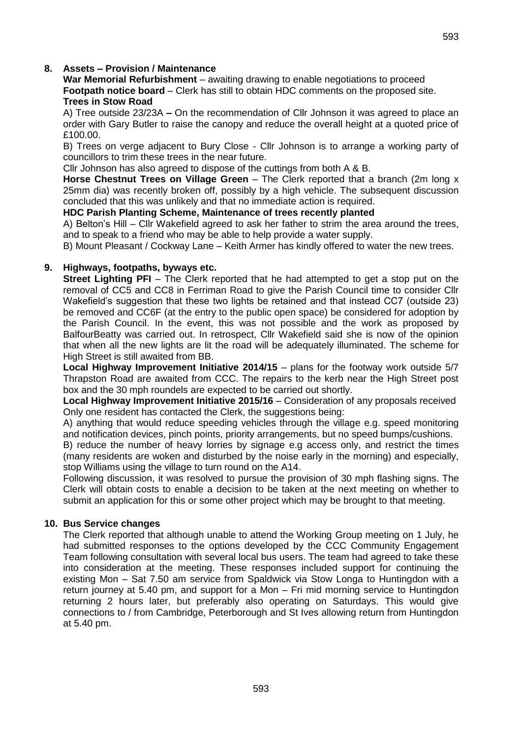**War Memorial Refurbishment** – awaiting drawing to enable negotiations to proceed **Footpath notice board** – Clerk has still to obtain HDC comments on the proposed site. **Trees in Stow Road**

A) Tree outside 23/23A **–** On the recommendation of Cllr Johnson it was agreed to place an order with Gary Butler to raise the canopy and reduce the overall height at a quoted price of £100.00.

B) Trees on verge adjacent to Bury Close - Cllr Johnson is to arrange a working party of councillors to trim these trees in the near future.

Cllr Johnson has also agreed to dispose of the cuttings from both A & B.

**Horse Chestnut Trees on Village Green** – The Clerk reported that a branch (2m long x 25mm dia) was recently broken off, possibly by a high vehicle. The subsequent discussion concluded that this was unlikely and that no immediate action is required.

#### **HDC Parish Planting Scheme, Maintenance of trees recently planted**

A) Belton's Hill – Cllr Wakefield agreed to ask her father to strim the area around the trees, and to speak to a friend who may be able to help provide a water supply.

B) Mount Pleasant / Cockway Lane – Keith Armer has kindly offered to water the new trees.

# **9. Highways, footpaths, byways etc.**

**Street Lighting PFI** – The Clerk reported that he had attempted to get a stop put on the removal of CC5 and CC8 in Ferriman Road to give the Parish Council time to consider Cllr Wakefield's suggestion that these two lights be retained and that instead CC7 (outside 23) be removed and CC6F (at the entry to the public open space) be considered for adoption by the Parish Council. In the event, this was not possible and the work as proposed by BalfourBeatty was carried out. In retrospect, Cllr Wakefield said she is now of the opinion that when all the new lights are lit the road will be adequately illuminated. The scheme for High Street is still awaited from BB.

**Local Highway Improvement Initiative 2014/15** – plans for the footway work outside 5/7 Thrapston Road are awaited from CCC. The repairs to the kerb near the High Street post box and the 30 mph roundels are expected to be carried out shortly.

**Local Highway Improvement Initiative 2015/16** – Consideration of any proposals received Only one resident has contacted the Clerk, the suggestions being:

A) anything that would reduce speeding vehicles through the village e.g. speed monitoring and notification devices, pinch points, priority arrangements, but no speed bumps/cushions.

B) reduce the number of heavy lorries by signage e.g access only, and restrict the times (many residents are woken and disturbed by the noise early in the morning) and especially, stop Williams using the village to turn round on the A14.

Following discussion, it was resolved to pursue the provision of 30 mph flashing signs. The Clerk will obtain costs to enable a decision to be taken at the next meeting on whether to submit an application for this or some other project which may be brought to that meeting.

#### **10. Bus Service changes**

The Clerk reported that although unable to attend the Working Group meeting on 1 July, he had submitted responses to the options developed by the CCC Community Engagement Team following consultation with several local bus users. The team had agreed to take these into consideration at the meeting. These responses included support for continuing the existing Mon – Sat 7.50 am service from Spaldwick via Stow Longa to Huntingdon with a return journey at 5.40 pm, and support for a Mon – Fri mid morning service to Huntingdon returning 2 hours later, but preferably also operating on Saturdays. This would give connections to / from Cambridge, Peterborough and St Ives allowing return from Huntingdon at 5.40 pm.